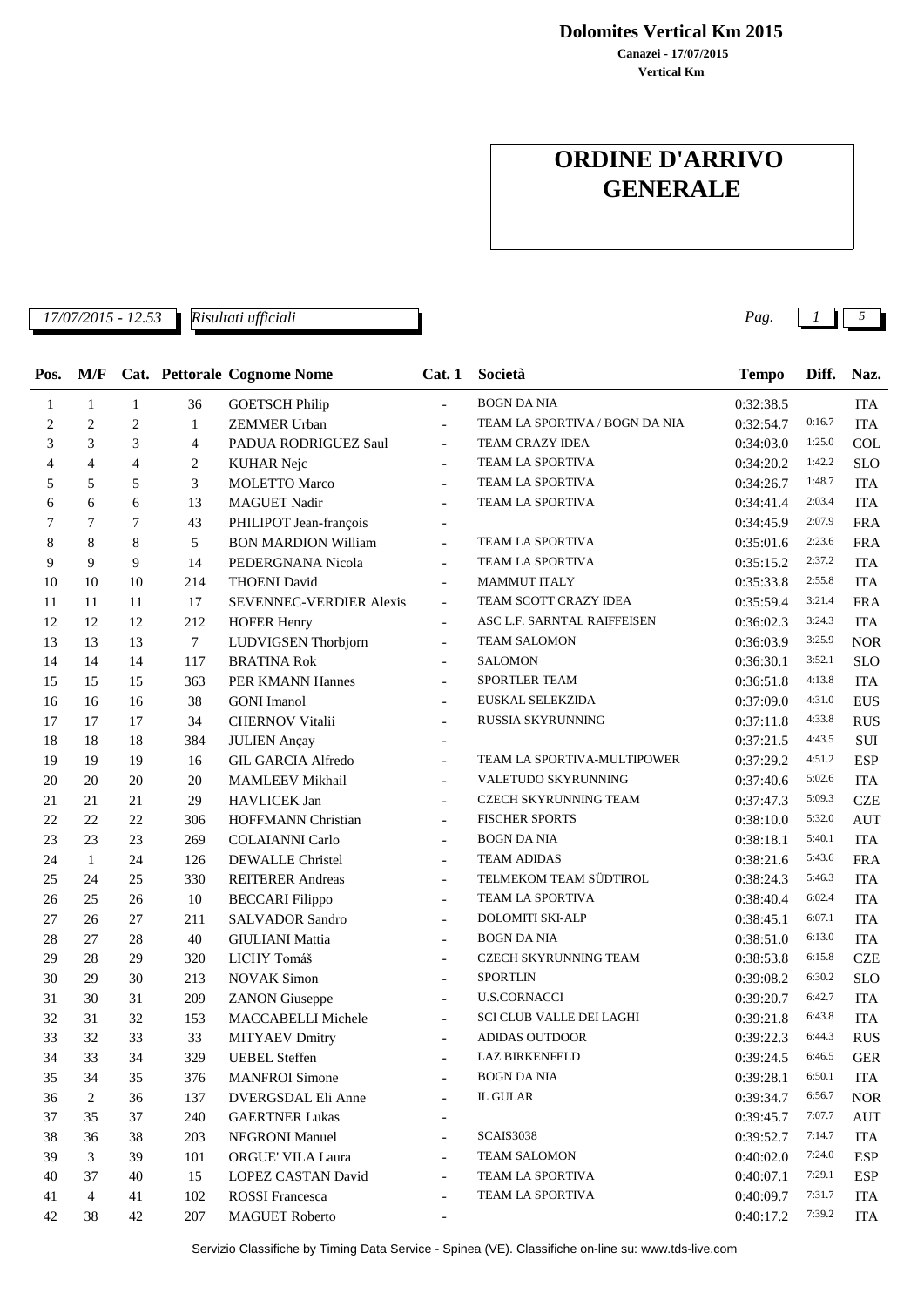**Canazei - 17/07/2015 Dolomites Vertical Km 2015**

**Vertical Km**

## **ORDINE D'ARRIVO GENERALE**

*17/07/2015 - 12.53 Pag. 1 5*

*Risultati ufficiali*

| Pos. | M/F            |                |                | Cat. Pettorale Cognome Nome    | Cat.1                    | Società                         | <b>Tempo</b> | Diff.  | Naz.       |
|------|----------------|----------------|----------------|--------------------------------|--------------------------|---------------------------------|--------------|--------|------------|
| 1    | 1              | 1              | 36             | <b>GOETSCH Philip</b>          | $\overline{a}$           | <b>BOGN DA NIA</b>              | 0:32:38.5    |        | <b>ITA</b> |
| 2    | $\overline{2}$ | $\overline{c}$ | $\mathbf{1}$   | <b>ZEMMER Urban</b>            | $\overline{\phantom{a}}$ | TEAM LA SPORTIVA / BOGN DA NIA  | 0:32:54.7    | 0:16.7 | <b>ITA</b> |
| 3    | 3              | 3              | $\overline{4}$ | PADUA RODRIGUEZ Saul           | $\blacksquare$           | <b>TEAM CRAZY IDEA</b>          | 0:34:03.0    | 1:25.0 | <b>COL</b> |
| 4    | $\overline{4}$ | 4              | $\overline{c}$ | <b>KUHAR Nejc</b>              | $\overline{\phantom{a}}$ | TEAM LA SPORTIVA                | 0:34:20.2    | 1:42.2 | <b>SLO</b> |
| 5    | 5              | 5              | 3              | <b>MOLETTO Marco</b>           | $\overline{a}$           | TEAM LA SPORTIVA                | 0:34:26.7    | 1:48.7 | <b>ITA</b> |
| 6    | 6              | 6              | 13             | <b>MAGUET Nadir</b>            | $\overline{\phantom{a}}$ | TEAM LA SPORTIVA                | 0:34:41.4    | 2:03.4 | <b>ITA</b> |
| 7    | 7              | 7              | 43             | PHILIPOT Jean-françois         | $\qquad \qquad -$        |                                 | 0:34:45.9    | 2:07.9 | <b>FRA</b> |
| 8    | 8              | 8              | 5              | <b>BON MARDION William</b>     | $\overline{a}$           | TEAM LA SPORTIVA                | 0:35:01.6    | 2:23.6 | <b>FRA</b> |
| 9    | 9              | 9              | 14             | PEDERGNANA Nicola              | $\overline{a}$           | TEAM LA SPORTIVA                | 0:35:15.2    | 2:37.2 | <b>ITA</b> |
| 10   | 10             | 10             | 214            | <b>THOENI</b> David            | $\overline{\phantom{a}}$ | <b>MAMMUT ITALY</b>             | 0:35:33.8    | 2:55.8 | <b>ITA</b> |
| 11   | 11             | 11             | 17             | <b>SEVENNEC-VERDIER Alexis</b> | $\blacksquare$           | TEAM SCOTT CRAZY IDEA           | 0:35:59.4    | 3:21.4 | <b>FRA</b> |
| 12   | 12             | 12             | 212            | <b>HOFER Henry</b>             | $\overline{\phantom{a}}$ | ASC L.F. SARNTAL RAIFFEISEN     | 0:36:02.3    | 3:24.3 | <b>ITA</b> |
| 13   | 13             | 13             | $\tau$         | LUDVIGSEN Thorbjorn            | $\overline{\phantom{a}}$ | <b>TEAM SALOMON</b>             | 0:36:03.9    | 3:25.9 | <b>NOR</b> |
| 14   | 14             | 14             | 117            | <b>BRATINA Rok</b>             |                          | <b>SALOMON</b>                  | 0:36:30.1    | 3:52.1 | <b>SLO</b> |
| 15   | 15             | 15             | 363            | PER KMANN Hannes               | $\overline{a}$           | SPORTLER TEAM                   | 0:36:51.8    | 4:13.8 | <b>ITA</b> |
| 16   | 16             | 16             | 38             | <b>GONI</b> Imanol             | $\overline{\phantom{a}}$ | EUSKAL SELEKZIDA                | 0:37:09.0    | 4:31.0 | <b>EUS</b> |
| 17   | 17             | 17             | 34             | CHERNOV Vitalii                | $\overline{\phantom{a}}$ | RUSSIA SKYRUNNING               | 0:37:11.8    | 4:33.8 | <b>RUS</b> |
| 18   | 18             | 18             | 384            | <b>JULIEN</b> Ançay            | $\overline{\phantom{a}}$ |                                 | 0:37:21.5    | 4:43.5 | $\rm SUI$  |
| 19   | 19             | 19             | 16             | <b>GIL GARCIA Alfredo</b>      | $\overline{\phantom{a}}$ | TEAM LA SPORTIVA-MULTIPOWER     | 0:37:29.2    | 4:51.2 | <b>ESP</b> |
| 20   | 20             | 20             | $20\,$         | <b>MAMLEEV Mikhail</b>         | $\overline{a}$           | VALETUDO SKYRUNNING             | 0:37:40.6    | 5:02.6 | <b>ITA</b> |
| 21   | 21             | 21             | 29             | <b>HAVLICEK Jan</b>            | $\overline{a}$           | CZECH SKYRUNNING TEAM           | 0:37:47.3    | 5:09.3 | <b>CZE</b> |
| 22   | 22             | 22             | 306            | HOFFMANN Christian             | $\overline{a}$           | <b>FISCHER SPORTS</b>           | 0:38:10.0    | 5:32.0 | <b>AUT</b> |
| 23   | 23             | 23             | 269            | <b>COLAIANNI Carlo</b>         | $\overline{a}$           | <b>BOGN DA NIA</b>              | 0:38:18.1    | 5:40.1 | <b>ITA</b> |
| 24   | $\mathbf{1}$   | 24             | 126            | <b>DEWALLE</b> Christel        | $\overline{a}$           | <b>TEAM ADIDAS</b>              | 0:38:21.6    | 5:43.6 | <b>FRA</b> |
| 25   | 24             | 25             | 330            | <b>REITERER Andreas</b>        | $\overline{\phantom{a}}$ | TELMEKOM TEAM SÜDTIROL          | 0:38:24.3    | 5:46.3 | <b>ITA</b> |
| 26   | 25             | 26             | 10             | <b>BECCARI Filippo</b>         | $\blacksquare$           | TEAM LA SPORTIVA                | 0:38:40.4    | 6:02.4 | <b>ITA</b> |
| 27   | 26             | 27             | 211            | <b>SALVADOR Sandro</b>         | $\blacksquare$           | <b>DOLOMITI SKI-ALP</b>         | 0:38:45.1    | 6:07.1 | <b>ITA</b> |
| 28   | 27             | 28             | 40             | <b>GIULIANI</b> Mattia         | $\overline{a}$           | <b>BOGN DA NIA</b>              | 0:38:51.0    | 6:13.0 | <b>ITA</b> |
| 29   | 28             | 29             | 320            | LICHÝ Tomáš                    | $\overline{a}$           | CZECH SKYRUNNING TEAM           | 0:38:53.8    | 6:15.8 | <b>CZE</b> |
| 30   | 29             | 30             | 213            | <b>NOVAK Simon</b>             |                          | <b>SPORTLIN</b>                 | 0:39:08.2    | 6:30.2 | <b>SLO</b> |
| 31   | 30             | 31             | 209            | <b>ZANON</b> Giuseppe          | $\overline{a}$           | <b>U.S.CORNACCI</b>             | 0:39:20.7    | 6:42.7 | <b>ITA</b> |
| 32   | 31             | 32             | 153            | MACCABELLI Michele             | $\overline{\phantom{a}}$ | <b>SCI CLUB VALLE DEI LAGHI</b> | 0:39:21.8    | 6:43.8 | <b>ITA</b> |
| 33   | 32             | 33             | 33             | <b>MITYAEV Dmitry</b>          | $\overline{\phantom{a}}$ | <b>ADIDAS OUTDOOR</b>           | 0:39:22.3    | 6:44.3 | <b>RUS</b> |
| 34   | 33             | 34             | 329            | <b>UEBEL Steffen</b>           |                          | <b>LAZ BIRKENFELD</b>           | 0:39:24.5    | 6:46.5 | <b>GER</b> |
| 35   | 34             | 35             | 376            | <b>MANFROI</b> Simone          |                          | BOGN DA NIA                     | 0:39:28.1    | 6:50.1 | ITA        |
| 36   | 2              | 36             | 137            | DVERGSDAL Eli Anne             |                          | IL GULAR                        | 0:39:34.7    | 6:56.7 | <b>NOR</b> |
| 37   | 35             | 37             | 240            | <b>GAERTNER Lukas</b>          |                          |                                 | 0:39:45.7    | 7:07.7 | <b>AUT</b> |
| 38   | 36             | 38             | 203            | <b>NEGRONI Manuel</b>          |                          | SCAIS3038                       | 0:39:52.7    | 7:14.7 | <b>ITA</b> |
| 39   | 3              | 39             | 101            | ORGUE' VILA Laura              | $\overline{\phantom{a}}$ | <b>TEAM SALOMON</b>             | 0:40:02.0    | 7:24.0 | <b>ESP</b> |
| 40   | 37             | 40             | 15             | LOPEZ CASTAN David             | $\overline{\phantom{a}}$ | TEAM LA SPORTIVA                | 0:40:07.1    | 7:29.1 | ESP        |
| 41   | 4              | 41             | 102            | <b>ROSSI</b> Francesca         |                          | TEAM LA SPORTIVA                | 0:40:09.7    | 7:31.7 | <b>ITA</b> |
| 42   | 38             | 42             | 207            | <b>MAGUET Roberto</b>          |                          |                                 | 0:40:17.2    | 7:39.2 | <b>ITA</b> |

Servizio Classifiche by Timing Data Service - Spinea (VE). Classifiche on-line su: www.tds-live.com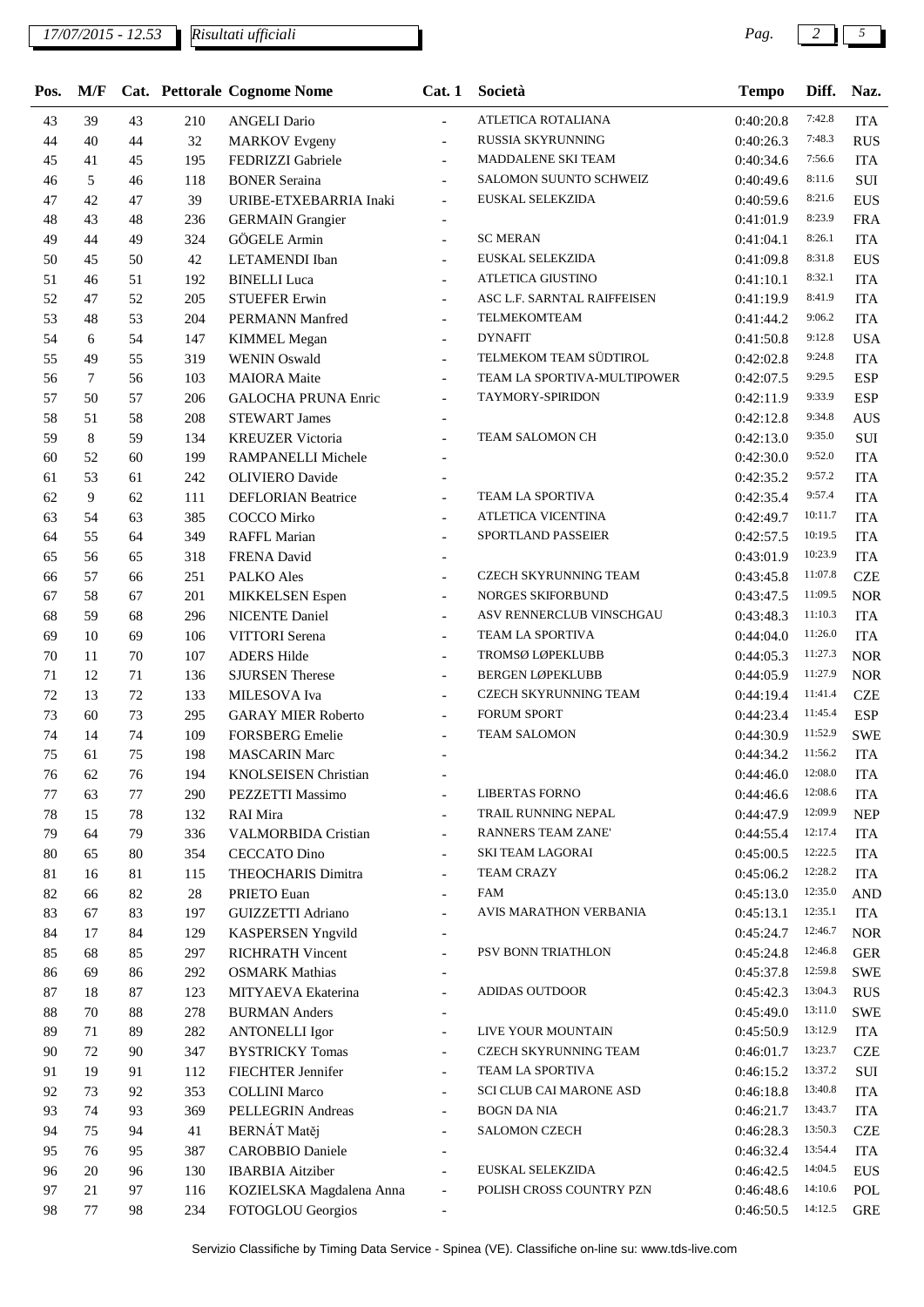| Pos. | M/F    |    |     | Cat. Pettorale Cognome Nome | Cat.1                    | Società                     | <b>Tempo</b>        | Diff.   | Naz.       |
|------|--------|----|-----|-----------------------------|--------------------------|-----------------------------|---------------------|---------|------------|
| 43   | 39     | 43 | 210 | <b>ANGELI Dario</b>         | $\overline{\phantom{a}}$ | ATLETICA ROTALIANA          | 0:40:20.8           | 7:42.8  | <b>ITA</b> |
| 44   | 40     | 44 | 32  | <b>MARKOV</b> Evgeny        | $\overline{\phantom{a}}$ | RUSSIA SKYRUNNING           | 0:40:26.3           | 7:48.3  | <b>RUS</b> |
| 45   | 41     | 45 | 195 | FEDRIZZI Gabriele           | $\blacksquare$           | MADDALENE SKI TEAM          | 0:40:34.6           | 7:56.6  | <b>ITA</b> |
| 46   | 5      | 46 | 118 | <b>BONER Seraina</b>        | $\blacksquare$           | SALOMON SUUNTO SCHWEIZ      | 0:40:49.6           | 8:11.6  | SUI        |
| 47   | 42     | 47 | 39  | URIBE-ETXEBARRIA Inaki      | $\overline{\phantom{a}}$ | EUSKAL SELEKZIDA            | 0:40:59.6           | 8:21.6  | <b>EUS</b> |
| 48   | 43     | 48 | 236 | <b>GERMAIN</b> Grangier     | $\overline{\phantom{a}}$ |                             | 0:41:01.9           | 8:23.9  | <b>FRA</b> |
| 49   | 44     | 49 | 324 | GÖGELE Armin                | $\overline{\phantom{a}}$ | <b>SC MERAN</b>             | 0:41:04.1           | 8:26.1  | <b>ITA</b> |
| 50   | 45     | 50 | 42  | LETAMENDI Iban              | $\overline{\phantom{a}}$ | EUSKAL SELEKZIDA            | 0:41:09.8           | 8:31.8  | <b>EUS</b> |
| 51   | 46     | 51 | 192 | <b>BINELLI</b> Luca         | $\overline{\phantom{a}}$ | ATLETICA GIUSTINO           | 0:41:10.1           | 8:32.1  | <b>ITA</b> |
| 52   | 47     | 52 | 205 | <b>STUEFER Erwin</b>        | $\overline{\phantom{a}}$ | ASC L.F. SARNTAL RAIFFEISEN | 0:41:19.9           | 8:41.9  | <b>ITA</b> |
| 53   | 48     | 53 | 204 | PERMANN Manfred             | $\overline{\phantom{a}}$ | TELMEKOMTEAM                | 0:41:44.2           | 9:06.2  | <b>ITA</b> |
| 54   | 6      | 54 | 147 | <b>KIMMEL Megan</b>         | $\blacksquare$           | <b>DYNAFIT</b>              | 0:41:50.8           | 9:12.8  | <b>USA</b> |
| 55   | 49     | 55 | 319 | <b>WENIN Oswald</b>         | $\overline{\phantom{a}}$ | TELMEKOM TEAM SÜDTIROL      | 0:42:02.8           | 9:24.8  | <b>ITA</b> |
| 56   | $\tau$ | 56 | 103 | <b>MAIORA</b> Maite         | $\overline{\phantom{a}}$ | TEAM LA SPORTIVA-MULTIPOWER | 0:42:07.5           | 9:29.5  | <b>ESP</b> |
| 57   | 50     | 57 | 206 | <b>GALOCHA PRUNA Enric</b>  | $\blacksquare$           | <b>TAYMORY-SPIRIDON</b>     | 0:42:11.9           | 9:33.9  | <b>ESP</b> |
| 58   | 51     | 58 | 208 | <b>STEWART James</b>        | $\overline{a}$           |                             | 0:42:12.8           | 9:34.8  | <b>AUS</b> |
| 59   | 8      | 59 | 134 | <b>KREUZER Victoria</b>     |                          | TEAM SALOMON CH             | 0:42:13.0           | 9:35.0  | $\rm SUI$  |
| 60   | 52     | 60 | 199 | RAMPANELLI Michele          |                          |                             | 0:42:30.0           | 9:52.0  | <b>ITA</b> |
| 61   | 53     | 61 | 242 | <b>OLIVIERO</b> Davide      | $\overline{\phantom{a}}$ |                             | 0:42:35.2           | 9:57.2  | <b>ITA</b> |
| 62   | 9      | 62 | 111 | <b>DEFLORIAN Beatrice</b>   | $\overline{\phantom{a}}$ | TEAM LA SPORTIVA            | 0:42:35.4           | 9:57.4  | <b>ITA</b> |
| 63   | 54     | 63 | 385 | <b>COCCO</b> Mirko          |                          | ATLETICA VICENTINA          | 0:42:49.7           | 10:11.7 | <b>ITA</b> |
| 64   | 55     | 64 | 349 | <b>RAFFL Marian</b>         | $\overline{\phantom{a}}$ | SPORTLAND PASSEIER          | 0:42:57.5           | 10:19.5 | <b>ITA</b> |
| 65   | 56     | 65 | 318 | FRENA David                 |                          |                             | 0:43:01.9           | 10:23.9 | <b>ITA</b> |
| 66   | 57     | 66 | 251 | PALKO Ales                  |                          | CZECH SKYRUNNING TEAM       | 0:43:45.8           | 11:07.8 | <b>CZE</b> |
| 67   | 58     | 67 | 201 | MIKKELSEN Espen             | $\overline{\phantom{a}}$ | NORGES SKIFORBUND           | 0:43:47.5           | 11:09.5 | <b>NOR</b> |
| 68   | 59     | 68 | 296 | <b>NICENTE Daniel</b>       | $\overline{\phantom{a}}$ | ASV RENNERCLUB VINSCHGAU    | 0:43:48.3           | 11:10.3 | <b>ITA</b> |
| 69   | 10     | 69 | 106 | VITTORI Serena              |                          | TEAM LA SPORTIVA            | 0:44:04.0           | 11:26.0 | <b>ITA</b> |
| 70   | 11     | 70 | 107 | <b>ADERS Hilde</b>          | $\overline{\phantom{a}}$ | TROMSØ LØPEKLUBB            | 0:44:05.3           | 11:27.3 | <b>NOR</b> |
| 71   | 12     | 71 | 136 | <b>SJURSEN</b> Therese      | $\overline{\phantom{a}}$ | <b>BERGEN LØPEKLUBB</b>     | 0:44:05.9           | 11:27.9 | <b>NOR</b> |
| 72   | 13     | 72 | 133 | MILESOVA Iva                | $\overline{\phantom{a}}$ | CZECH SKYRUNNING TEAM       | 0:44:19.4           | 11:41.4 | <b>CZE</b> |
| 73   | 60     | 73 | 295 | <b>GARAY MIER Roberto</b>   |                          | <b>FORUM SPORT</b>          | 0:44:23.4           | 11:45.4 | <b>ESP</b> |
| 74   | 14     | 74 | 109 | <b>FORSBERG</b> Emelie      | $\overline{a}$           | <b>TEAM SALOMON</b>         | 0:44:30.9           | 11:52.9 | <b>SWE</b> |
| 75   | 61     | 75 | 198 | <b>MASCARIN Marc</b>        |                          |                             | 0:44:34.2           | 11:56.2 | <b>ITA</b> |
| 76   | 62     | 76 | 194 | <b>KNOLSEISEN</b> Christian |                          |                             | $0:44:46.0$ 12:08.0 |         | <b>ITA</b> |
| 77   | 63     | 77 | 290 | PEZZETTI Massimo            |                          | <b>LIBERTAS FORNO</b>       | 0:44:46.6           | 12:08.6 | <b>ITA</b> |
| 78   | 15     | 78 | 132 | RAI Mira                    |                          | TRAIL RUNNING NEPAL         | 0:44:47.9           | 12:09.9 | <b>NEP</b> |
| 79   | 64     | 79 | 336 | <b>VALMORBIDA Cristian</b>  | $\sim$                   | RANNERS TEAM ZANE'          | 0:44:55.4           | 12:17.4 | <b>ITA</b> |
| 80   | 65     | 80 | 354 | <b>CECCATO Dino</b>         | $\blacksquare$           | SKI TEAM LAGORAI            | 0:45:00.5           | 12:22.5 | <b>ITA</b> |
| 81   | 16     | 81 | 115 | THEOCHARIS Dimitra          | $\overline{\phantom{a}}$ | <b>TEAM CRAZY</b>           | 0:45:06.2           | 12:28.2 | <b>ITA</b> |
| 82   | 66     | 82 | 28  | PRIETO Euan                 | $\blacksquare$           | FAM                         | 0:45:13.0           | 12:35.0 | <b>AND</b> |
| 83   | 67     | 83 | 197 | <b>GUIZZETTI Adriano</b>    | $\blacksquare$           | AVIS MARATHON VERBANIA      | 0:45:13.1           | 12:35.1 | <b>ITA</b> |
| 84   | 17     | 84 | 129 | <b>KASPERSEN Yngvild</b>    | $\overline{\phantom{a}}$ |                             | 0:45:24.7           | 12:46.7 | <b>NOR</b> |
| 85   | 68     | 85 | 297 | RICHRATH Vincent            | $\overline{\phantom{a}}$ | PSV BONN TRIATHLON          | 0:45:24.8           | 12:46.8 | <b>GER</b> |
| 86   | 69     | 86 | 292 | <b>OSMARK</b> Mathias       | $\overline{\phantom{a}}$ |                             | 0:45:37.8           | 12:59.8 | <b>SWE</b> |
| 87   | 18     | 87 | 123 | MITYAEVA Ekaterina          | $\overline{\phantom{a}}$ | <b>ADIDAS OUTDOOR</b>       | 0:45:42.3           | 13:04.3 | <b>RUS</b> |
| 88   | 70     | 88 | 278 | <b>BURMAN</b> Anders        |                          |                             | 0:45:49.0           | 13:11.0 | <b>SWE</b> |
| 89   | 71     | 89 | 282 | <b>ANTONELLI Igor</b>       | $\overline{a}$           | LIVE YOUR MOUNTAIN          | 0:45:50.9           | 13:12.9 | <b>ITA</b> |
| 90   | 72     | 90 | 347 | <b>BYSTRICKY Tomas</b>      |                          | CZECH SKYRUNNING TEAM       | 0:46:01.7           | 13:23.7 | <b>CZE</b> |
| 91   | 19     | 91 | 112 | FIECHTER Jennifer           | $\blacksquare$           | TEAM LA SPORTIVA            | 0:46:15.2           | 13:37.2 | $\rm SUI$  |
| 92   | 73     | 92 | 353 | <b>COLLINI Marco</b>        |                          | SCI CLUB CAI MARONE ASD     | 0:46:18.8           | 13:40.8 | <b>ITA</b> |
| 93   | 74     | 93 | 369 | PELLEGRIN Andreas           | $\overline{\phantom{a}}$ | <b>BOGN DA NIA</b>          | 0:46:21.7           | 13:43.7 | <b>ITA</b> |
| 94   | 75     | 94 | 41  | <b>BERNÁT</b> Matěj         | $\overline{\phantom{a}}$ | <b>SALOMON CZECH</b>        | 0:46:28.3           | 13:50.3 | <b>CZE</b> |
| 95   | 76     | 95 | 387 | <b>CAROBBIO</b> Daniele     | $\overline{\phantom{a}}$ |                             | 0:46:32.4           | 13:54.4 | <b>ITA</b> |
| 96   | 20     | 96 | 130 | <b>IBARBIA</b> Aitziber     | $\overline{a}$           | EUSKAL SELEKZIDA            | 0:46:42.5           | 14:04.5 | <b>EUS</b> |
| 97   | 21     | 97 | 116 | KOZIELSKA Magdalena Anna    | $\blacksquare$           | POLISH CROSS COUNTRY PZN    | 0:46:48.6           | 14:10.6 | POL        |
| 98   | 77     | 98 | 234 | FOTOGLOU Georgios           | $\overline{\phantom{a}}$ |                             | 0:46:50.5           | 14:12.5 | <b>GRE</b> |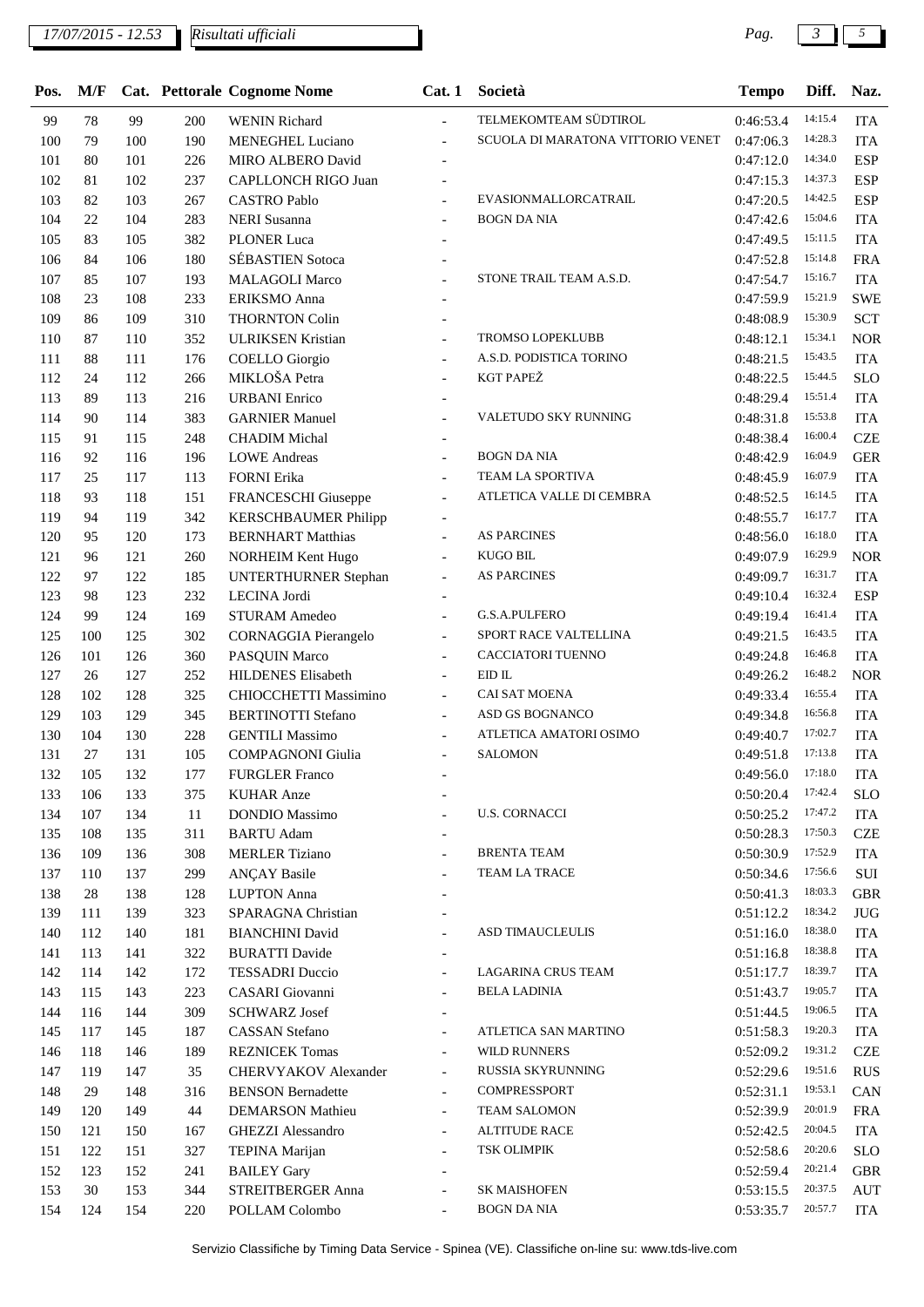*Risultati ufficiali*

| Pos. | M/F |     |     | Cat. Pettorale Cognome Nome | Cat.1                    | Società                           | <b>Tempo</b> | Diff.   | Naz.       |
|------|-----|-----|-----|-----------------------------|--------------------------|-----------------------------------|--------------|---------|------------|
| 99   | 78  | 99  | 200 | <b>WENIN Richard</b>        | $\overline{\phantom{a}}$ | TELMEKOMTEAM SÜDTIROL             | 0:46:53.4    | 14:15.4 | <b>ITA</b> |
| 100  | 79  | 100 | 190 | <b>MENEGHEL Luciano</b>     | $\overline{\phantom{a}}$ | SCUOLA DI MARATONA VITTORIO VENET | 0:47:06.3    | 14:28.3 | <b>ITA</b> |
| 101  | 80  | 101 | 226 | MIRO ALBERO David           |                          |                                   | 0:47:12.0    | 14:34.0 | <b>ESP</b> |
| 102  | 81  | 102 | 237 | CAPLLONCH RIGO Juan         |                          |                                   | 0:47:15.3    | 14:37.3 | <b>ESP</b> |
| 103  | 82  | 103 | 267 | <b>CASTRO Pablo</b>         |                          | EVASIONMALLORCATRAIL              | 0:47:20.5    | 14:42.5 | <b>ESP</b> |
| 104  | 22  | 104 | 283 | <b>NERI</b> Susanna         |                          | <b>BOGN DA NIA</b>                | 0:47:42.6    | 15:04.6 | <b>ITA</b> |
| 105  | 83  | 105 | 382 | <b>PLONER Luca</b>          |                          |                                   | 0:47:49.5    | 15:11.5 | <b>ITA</b> |
| 106  | 84  | 106 | 180 | <b>SÉBASTIEN Sotoca</b>     | $\overline{\phantom{a}}$ |                                   | 0:47:52.8    | 15:14.8 | <b>FRA</b> |
| 107  | 85  | 107 | 193 | <b>MALAGOLI Marco</b>       | $\overline{\phantom{a}}$ | STONE TRAIL TEAM A.S.D.           | 0:47:54.7    | 15:16.7 | <b>ITA</b> |
| 108  | 23  | 108 | 233 | ERIKSMO Anna                |                          |                                   | 0:47:59.9    | 15:21.9 | <b>SWE</b> |
| 109  | 86  | 109 | 310 | <b>THORNTON Colin</b>       | $\overline{\phantom{a}}$ |                                   | 0:48:08.9    | 15:30.9 | <b>SCT</b> |
| 110  | 87  | 110 | 352 | <b>ULRIKSEN Kristian</b>    |                          | <b>TROMSO LOPEKLUBB</b>           | 0:48:12.1    | 15:34.1 | <b>NOR</b> |
| 111  | 88  | 111 | 176 | <b>COELLO</b> Giorgio       |                          | A.S.D. PODISTICA TORINO           | 0:48:21.5    | 15:43.5 | <b>ITA</b> |
| 112  | 24  | 112 | 266 | MIKLOŠA Petra               |                          | <b>KGT PAPEŽ</b>                  | 0:48:22.5    | 15:44.5 | <b>SLO</b> |
| 113  | 89  | 113 | 216 | <b>URBANI</b> Enrico        |                          |                                   | 0:48:29.4    | 15:51.4 | <b>ITA</b> |
| 114  | 90  | 114 | 383 | <b>GARNIER Manuel</b>       | $\overline{a}$           | VALETUDO SKY RUNNING              | 0:48:31.8    | 15:53.8 | <b>ITA</b> |
| 115  | 91  | 115 | 248 | <b>CHADIM Michal</b>        | $\overline{\phantom{a}}$ |                                   | 0:48:38.4    | 16:00.4 | <b>CZE</b> |
| 116  | 92  | 116 | 196 | <b>LOWE</b> Andreas         | $\blacksquare$           | <b>BOGN DA NIA</b>                | 0:48:42.9    | 16:04.9 | <b>GER</b> |
| 117  | 25  | 117 | 113 | <b>FORNI</b> Erika          |                          | TEAM LA SPORTIVA                  | 0:48:45.9    | 16:07.9 | <b>ITA</b> |
| 118  | 93  | 118 | 151 | FRANCESCHI Giuseppe         |                          | ATLETICA VALLE DI CEMBRA          | 0:48:52.5    | 16:14.5 | <b>ITA</b> |
| 119  | 94  | 119 | 342 | <b>KERSCHBAUMER Philipp</b> | $\overline{a}$           |                                   | 0:48:55.7    | 16:17.7 | <b>ITA</b> |
| 120  | 95  | 120 | 173 | <b>BERNHART Matthias</b>    | $\overline{a}$           | <b>AS PARCINES</b>                | 0:48:56.0    | 16:18.0 | <b>ITA</b> |
| 121  | 96  | 121 | 260 | <b>NORHEIM Kent Hugo</b>    | $\overline{\phantom{a}}$ | <b>KUGO BIL</b>                   | 0:49:07.9    | 16:29.9 | <b>NOR</b> |
| 122  | 97  | 122 | 185 | <b>UNTERTHURNER Stephan</b> | $\overline{\phantom{a}}$ | <b>AS PARCINES</b>                | 0:49:09.7    | 16:31.7 | <b>ITA</b> |
| 123  | 98  | 123 | 232 | LECINA Jordi                |                          |                                   | 0:49:10.4    | 16:32.4 | <b>ESP</b> |
| 124  | 99  | 124 | 169 | <b>STURAM Amedeo</b>        | $\overline{a}$           | G.S.A.PULFERO                     | 0:49:19.4    | 16:41.4 | <b>ITA</b> |
| 125  | 100 | 125 | 302 | <b>CORNAGGIA</b> Pierangelo | $\overline{\phantom{a}}$ | SPORT RACE VALTELLINA             | 0:49:21.5    | 16:43.5 | <b>ITA</b> |
| 126  | 101 | 126 | 360 | PASQUIN Marco               |                          | CACCIATORI TUENNO                 | 0:49:24.8    | 16:46.8 | <b>ITA</b> |
| 127  | 26  | 127 | 252 | <b>HILDENES Elisabeth</b>   | $\overline{\phantom{a}}$ | $EID$ IL                          | 0:49:26.2    | 16:48.2 | <b>NOR</b> |
| 128  | 102 | 128 | 325 | CHIOCCHETTI Massimino       | $\overline{\phantom{a}}$ | <b>CAI SAT MOENA</b>              | 0:49:33.4    | 16:55.4 | <b>ITA</b> |
| 129  | 103 | 129 | 345 | <b>BERTINOTTI Stefano</b>   | $\overline{\phantom{a}}$ | ASD GS BOGNANCO                   | 0:49:34.8    | 16:56.8 | <b>ITA</b> |
| 130  | 104 | 130 | 228 | <b>GENTILI Massimo</b>      | $\overline{\phantom{a}}$ | ATLETICA AMATORI OSIMO            | 0:49:40.7    | 17:02.7 | <b>ITA</b> |
| 131  | 27  | 131 | 105 | <b>COMPAGNONI</b> Giulia    | $\overline{\phantom{a}}$ | <b>SALOMON</b>                    | 0:49:51.8    | 17:13.8 | <b>ITA</b> |
| 132  | 105 | 132 | 177 | <b>FURGLER Franco</b>       | $\blacksquare$           |                                   | 0:49:56.0    | 17:18.0 | <b>ITA</b> |
| 133  | 106 | 133 | 375 | <b>KUHAR</b> Anze           |                          |                                   | 0:50:20.4    | 17:42.4 | <b>SLO</b> |
| 134  | 107 | 134 | 11  | <b>DONDIO</b> Massimo       |                          | <b>U.S. CORNACCI</b>              | 0:50:25.2    | 17:47.2 | <b>ITA</b> |
| 135  | 108 | 135 | 311 | <b>BARTU</b> Adam           |                          |                                   | 0:50:28.3    | 17:50.3 | <b>CZE</b> |
| 136  | 109 | 136 | 308 | <b>MERLER Tiziano</b>       |                          | <b>BRENTA TEAM</b>                | 0:50:30.9    | 17:52.9 | <b>ITA</b> |
| 137  | 110 | 137 | 299 | <b>ANÇAY Basile</b>         |                          | TEAM LA TRACE                     | 0:50:34.6    | 17:56.6 | $\rm SUI$  |
| 138  | 28  | 138 | 128 | <b>LUPTON</b> Anna          |                          |                                   | 0:50:41.3    | 18:03.3 | <b>GBR</b> |
| 139  | 111 | 139 | 323 | SPARAGNA Christian          |                          |                                   | 0:51:12.2    | 18:34.2 | <b>JUG</b> |
| 140  | 112 | 140 | 181 | <b>BIANCHINI</b> David      |                          | ASD TIMAUCLEULIS                  | 0:51:16.0    | 18:38.0 | <b>ITA</b> |
| 141  | 113 | 141 | 322 | <b>BURATTI Davide</b>       |                          |                                   | 0:51:16.8    | 18:38.8 | <b>ITA</b> |
| 142  | 114 | 142 | 172 | <b>TESSADRI</b> Duccio      |                          | <b>LAGARINA CRUS TEAM</b>         | 0:51:17.7    | 18:39.7 | <b>ITA</b> |
| 143  | 115 | 143 | 223 | CASARI Giovanni             | $\overline{\phantom{a}}$ | <b>BELA LADINIA</b>               | 0:51:43.7    | 19:05.7 | <b>ITA</b> |
| 144  | 116 | 144 | 309 | <b>SCHWARZ</b> Josef        | $\overline{\phantom{a}}$ |                                   | 0:51:44.5    | 19:06.5 | <b>ITA</b> |
| 145  | 117 | 145 | 187 | <b>CASSAN</b> Stefano       |                          | ATLETICA SAN MARTINO              | 0:51:58.3    | 19:20.3 | <b>ITA</b> |
| 146  | 118 | 146 | 189 | <b>REZNICEK Tomas</b>       | $\overline{\phantom{a}}$ | WILD RUNNERS                      | 0:52:09.2    | 19:31.2 | <b>CZE</b> |
| 147  | 119 | 147 | 35  | CHERVYAKOV Alexander        | $\overline{\phantom{a}}$ | RUSSIA SKYRUNNING                 | 0:52:29.6    | 19:51.6 | <b>RUS</b> |
| 148  | 29  | 148 | 316 | <b>BENSON Bernadette</b>    | $\overline{a}$           | COMPRESSPORT                      | 0:52:31.1    | 19:53.1 | CAN        |
| 149  | 120 | 149 | 44  | <b>DEMARSON</b> Mathieu     | $\overline{\phantom{a}}$ | <b>TEAM SALOMON</b>               | 0:52:39.9    | 20:01.9 | <b>FRA</b> |
| 150  | 121 | 150 | 167 | GHEZZI Alessandro           |                          | <b>ALTITUDE RACE</b>              | 0:52:42.5    | 20:04.5 | <b>ITA</b> |
| 151  | 122 | 151 | 327 | <b>TEPINA Marijan</b>       |                          | TSK OLIMPIK                       | 0:52:58.6    | 20:20.6 | <b>SLO</b> |
| 152  | 123 | 152 | 241 | <b>BAILEY Gary</b>          |                          |                                   | 0:52:59.4    | 20:21.4 | <b>GBR</b> |
| 153  | 30  | 153 | 344 | STREITBERGER Anna           |                          | <b>SK MAISHOFEN</b>               | 0:53:15.5    | 20:37.5 | <b>AUT</b> |
| 154  | 124 | 154 | 220 | POLLAM Colombo              |                          | <b>BOGN DA NIA</b>                | 0:53:35.7    | 20:57.7 | <b>ITA</b> |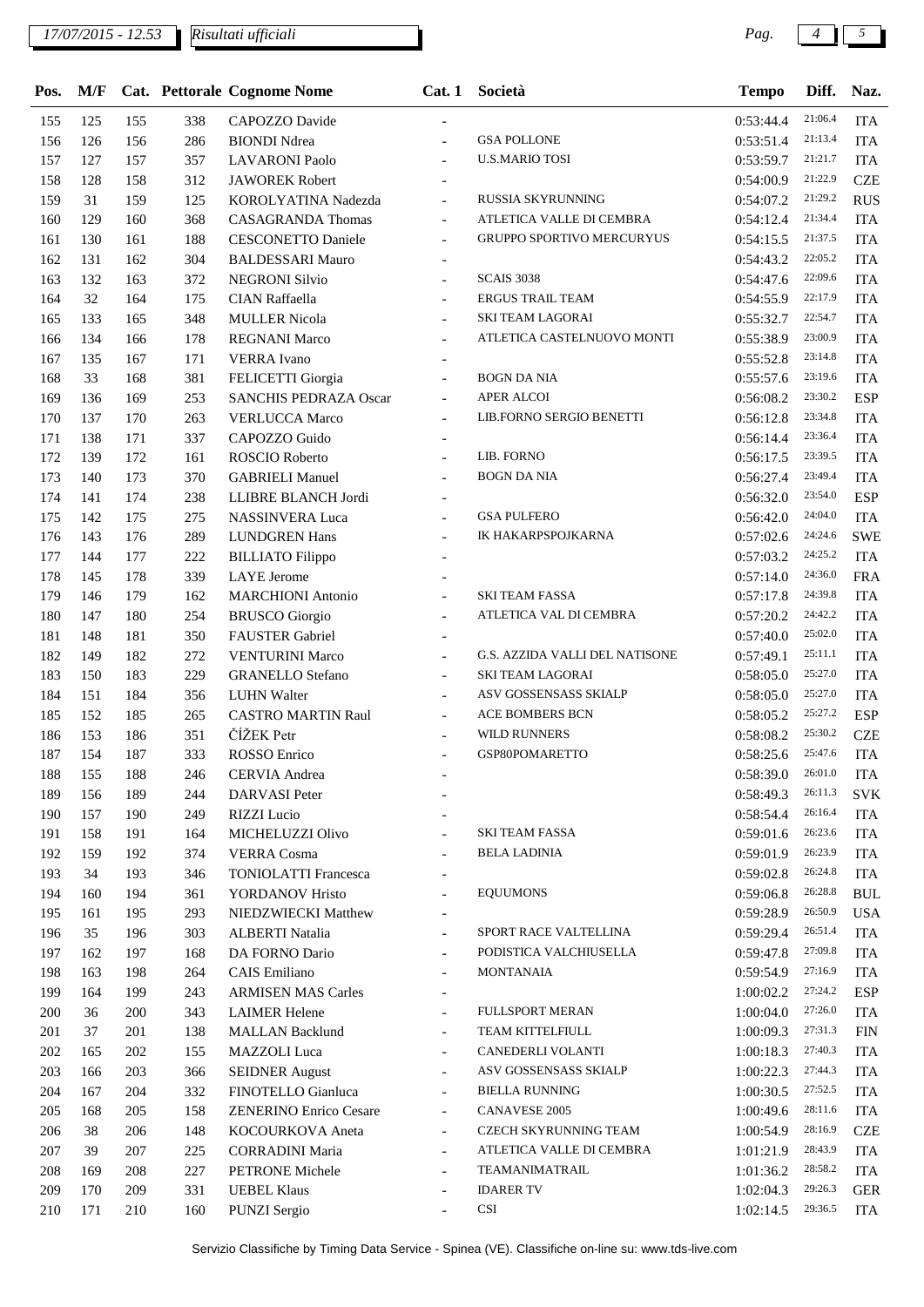|  | $\sim$ |
|--|--------|
|  |        |

| Pos. | M/F |     |     | Cat. Pettorale Cognome Nome   | Cat.1                    | Società                          | <b>Tempo</b> | Diff.   | Naz.       |
|------|-----|-----|-----|-------------------------------|--------------------------|----------------------------------|--------------|---------|------------|
| 155  | 125 | 155 | 338 | CAPOZZO Davide                |                          |                                  | 0:53:44.4    | 21:06.4 | <b>ITA</b> |
| 156  | 126 | 156 | 286 | <b>BIONDI Ndrea</b>           |                          | <b>GSA POLLONE</b>               | 0:53:51.4    | 21:13.4 | <b>ITA</b> |
| 157  | 127 | 157 | 357 | <b>LAVARONI</b> Paolo         | $\blacksquare$           | <b>U.S.MARIO TOSI</b>            | 0:53:59.7    | 21:21.7 | <b>ITA</b> |
| 158  | 128 | 158 | 312 | <b>JAWOREK Robert</b>         |                          |                                  | 0:54:00.9    | 21:22.9 | <b>CZE</b> |
| 159  | 31  | 159 | 125 | KOROLYATINA Nadezda           | $\blacksquare$           | RUSSIA SKYRUNNING                | 0:54:07.2    | 21:29.2 | <b>RUS</b> |
| 160  | 129 | 160 | 368 | <b>CASAGRANDA Thomas</b>      | $\overline{\phantom{a}}$ | ATLETICA VALLE DI CEMBRA         | 0:54:12.4    | 21:34.4 | <b>ITA</b> |
| 161  | 130 | 161 | 188 | <b>CESCONETTO Daniele</b>     | $\overline{\phantom{a}}$ | <b>GRUPPO SPORTIVO MERCURYUS</b> | 0:54:15.5    | 21:37.5 | <b>ITA</b> |
| 162  | 131 | 162 | 304 | <b>BALDESSARI Mauro</b>       |                          |                                  | 0:54:43.2    | 22:05.2 | <b>ITA</b> |
| 163  | 132 | 163 | 372 | <b>NEGRONI Silvio</b>         |                          | <b>SCAIS 3038</b>                | 0:54:47.6    | 22:09.6 | <b>ITA</b> |
| 164  | 32  | 164 | 175 | CIAN Raffaella                |                          | <b>ERGUS TRAIL TEAM</b>          | 0:54:55.9    | 22:17.9 | <b>ITA</b> |
| 165  | 133 | 165 | 348 | <b>MULLER Nicola</b>          | $\overline{\phantom{a}}$ | SKI TEAM LAGORAI                 | 0:55:32.7    | 22:54.7 | <b>ITA</b> |
| 166  | 134 | 166 | 178 | <b>REGNANI Marco</b>          |                          | ATLETICA CASTELNUOVO MONTI       | 0:55:38.9    | 23:00.9 | <b>ITA</b> |
| 167  | 135 | 167 | 171 | <b>VERRA</b> Ivano            | $\overline{\phantom{a}}$ |                                  | 0:55:52.8    | 23:14.8 | <b>ITA</b> |
| 168  | 33  | 168 | 381 | FELICETTI Giorgia             | $\overline{\phantom{a}}$ | <b>BOGN DA NIA</b>               | 0:55:57.6    | 23:19.6 | <b>ITA</b> |
| 169  | 136 | 169 | 253 | <b>SANCHIS PEDRAZA Oscar</b>  | $\overline{\phantom{a}}$ | APER ALCOI                       | 0:56:08.2    | 23:30.2 | <b>ESP</b> |
| 170  | 137 | 170 | 263 | <b>VERLUCCA Marco</b>         |                          | LIB.FORNO SERGIO BENETTI         | 0:56:12.8    | 23:34.8 | <b>ITA</b> |
| 171  | 138 | 171 | 337 | CAPOZZO Guido                 | $\overline{\phantom{a}}$ |                                  | 0:56:14.4    | 23:36.4 | <b>ITA</b> |
| 172  | 139 | 172 | 161 | ROSCIO Roberto                | $\overline{\phantom{a}}$ | LIB. FORNO                       | 0:56:17.5    | 23:39.5 | <b>ITA</b> |
| 173  | 140 | 173 | 370 | <b>GABRIELI Manuel</b>        | $\overline{\phantom{a}}$ | <b>BOGN DA NIA</b>               | 0:56:27.4    | 23:49.4 | <b>ITA</b> |
| 174  | 141 | 174 | 238 | LLIBRE BLANCH Jordi           | $\overline{\phantom{a}}$ |                                  | 0:56:32.0    | 23:54.0 | <b>ESP</b> |
| 175  | 142 | 175 | 275 | NASSINVERA Luca               | $\blacksquare$           | <b>GSA PULFERO</b>               | 0:56:42.0    | 24:04.0 | <b>ITA</b> |
| 176  | 143 | 176 | 289 | <b>LUNDGREN Hans</b>          | $\overline{\phantom{a}}$ | IK HAKARPSPOJKARNA               | 0:57:02.6    | 24:24.6 | <b>SWE</b> |
| 177  | 144 | 177 | 222 | <b>BILLIATO</b> Filippo       |                          |                                  | 0:57:03.2    | 24:25.2 | <b>ITA</b> |
| 178  | 145 | 178 | 339 | <b>LAYE</b> Jerome            |                          |                                  | 0:57:14.0    | 24:36.0 | <b>FRA</b> |
| 179  | 146 | 179 | 162 | <b>MARCHIONI</b> Antonio      |                          | <b>SKI TEAM FASSA</b>            | 0:57:17.8    | 24:39.8 | <b>ITA</b> |
| 180  | 147 | 180 | 254 | <b>BRUSCO</b> Giorgio         | $\overline{\phantom{a}}$ | ATLETICA VAL DI CEMBRA           | 0:57:20.2    | 24:42.2 | <b>ITA</b> |
| 181  | 148 | 181 | 350 | <b>FAUSTER Gabriel</b>        | $\overline{\phantom{a}}$ |                                  | 0:57:40.0    | 25:02.0 | <b>ITA</b> |
| 182  | 149 | 182 | 272 | <b>VENTURINI Marco</b>        | $\overline{\phantom{a}}$ | G.S. AZZIDA VALLI DEL NATISONE   | 0:57:49.1    | 25:11.1 | <b>ITA</b> |
| 183  | 150 | 183 | 229 | <b>GRANELLO Stefano</b>       | $\blacksquare$           | <b>SKI TEAM LAGORAI</b>          | 0:58:05.0    | 25:27.0 | <b>ITA</b> |
| 184  | 151 | 184 | 356 | <b>LUHN Walter</b>            |                          | ASV GOSSENSASS SKIALP            | 0:58:05.0    | 25:27.0 | <b>ITA</b> |
| 185  | 152 | 185 | 265 | <b>CASTRO MARTIN Raul</b>     | $\blacksquare$           | <b>ACE BOMBERS BCN</b>           | 0:58:05.2    | 25:27.2 | <b>ESP</b> |
| 186  | 153 | 186 | 351 | ČÍŽEK Petr                    |                          | WILD RUNNERS                     | 0:58:08.2    | 25:30.2 | <b>CZE</b> |
| 187  | 154 | 187 | 333 | ROSSO Enrico                  |                          | GSP80POMARETTO                   | 0:58:25.6    | 25:47.6 | <b>ITA</b> |
| 188  | 155 | 188 | 246 | CERVIA Andrea                 |                          |                                  | 0.58:39.0    | 26:01.0 | <b>ITA</b> |
| 189  | 156 | 189 | 244 | DARVASI Peter                 |                          |                                  | 0:58:49.3    | 26:11.3 | <b>SVK</b> |
| 190  | 157 | 190 | 249 | RIZZI Lucio                   |                          |                                  | 0:58:54.4    | 26:16.4 | <b>ITA</b> |
| 191  | 158 | 191 | 164 | MICHELUZZI Olivo              |                          | <b>SKI TEAM FASSA</b>            | 0:59:01.6    | 26:23.6 | <b>ITA</b> |
| 192  | 159 | 192 | 374 | <b>VERRA</b> Cosma            | $\overline{\phantom{a}}$ | <b>BELA LADINIA</b>              | 0:59:01.9    | 26:23.9 | <b>ITA</b> |
| 193  | 34  | 193 | 346 | <b>TONIOLATTI Francesca</b>   | $\overline{a}$           |                                  | 0:59:02.8    | 26:24.8 | <b>ITA</b> |
| 194  | 160 | 194 | 361 | YORDANOV Hristo               | $\overline{\phantom{a}}$ | <b>EQUUMONS</b>                  | 0:59:06.8    | 26:28.8 | <b>BUL</b> |
| 195  | 161 | 195 | 293 | NIEDZWIECKI Matthew           | $\overline{\phantom{a}}$ |                                  | 0:59:28.9    | 26:50.9 | <b>USA</b> |
| 196  | 35  | 196 | 303 | <b>ALBERTI Natalia</b>        | $\overline{\phantom{a}}$ | SPORT RACE VALTELLINA            | 0:59:29.4    | 26:51.4 | <b>ITA</b> |
| 197  | 162 | 197 | 168 | DA FORNO Dario                | $\overline{\phantom{a}}$ | PODISTICA VALCHIUSELLA           | 0:59:47.8    | 27:09.8 | <b>ITA</b> |
| 198  | 163 | 198 | 264 | <b>CAIS</b> Emiliano          | $\overline{\phantom{a}}$ | MONTANAIA                        | 0:59:54.9    | 27:16.9 | <b>ITA</b> |
| 199  | 164 | 199 | 243 | <b>ARMISEN MAS Carles</b>     | $\overline{\phantom{a}}$ |                                  | 1:00:02.2    | 27:24.2 | <b>ESP</b> |
| 200  | 36  | 200 | 343 | <b>LAIMER Helene</b>          | $\sim$                   | FULLSPORT MERAN                  | 1:00:04.0    | 27:26.0 | <b>ITA</b> |
| 201  | 37  | 201 | 138 | <b>MALLAN Backlund</b>        |                          | TEAM KITTELFIULL                 | 1:00:09.3    | 27:31.3 | <b>FIN</b> |
| 202  | 165 | 202 | 155 | <b>MAZZOLI</b> Luca           |                          | CANEDERLI VOLANTI                | 1:00:18.3    | 27:40.3 | <b>ITA</b> |
| 203  | 166 | 203 | 366 | <b>SEIDNER August</b>         | $\overline{\phantom{a}}$ | ASV GOSSENSASS SKIALP            | 1:00:22.3    | 27:44.3 | <b>ITA</b> |
| 204  | 167 | 204 | 332 | FINOTELLO Gianluca            | $\blacksquare$           | <b>BIELLA RUNNING</b>            | 1:00:30.5    | 27:52.5 | <b>ITA</b> |
| 205  | 168 | 205 | 158 | <b>ZENERINO Enrico Cesare</b> | $\overline{\phantom{a}}$ | CANAVESE 2005                    | 1:00:49.6    | 28:11.6 | <b>ITA</b> |
| 206  | 38  | 206 | 148 | KOCOURKOVA Aneta              | $\overline{\phantom{a}}$ | CZECH SKYRUNNING TEAM            | 1:00:54.9    | 28:16.9 | <b>CZE</b> |
| 207  | 39  | 207 | 225 | <b>CORRADINI Maria</b>        | $\overline{\phantom{a}}$ | ATLETICA VALLE DI CEMBRA         | 1:01:21.9    | 28:43.9 | <b>ITA</b> |
| 208  | 169 | 208 | 227 | PETRONE Michele               | $\overline{\phantom{a}}$ | TEAMANIMATRAIL                   | 1:01:36.2    | 28:58.2 | <b>ITA</b> |
| 209  | 170 | 209 | 331 | <b>UEBEL Klaus</b>            |                          | <b>IDARER TV</b>                 | 1:02:04.3    | 29:26.3 | <b>GER</b> |
| 210  | 171 | 210 | 160 | <b>PUNZI Sergio</b>           |                          | <b>CSI</b>                       | 1:02:14.5    | 29:36.5 | <b>ITA</b> |
|      |     |     |     |                               |                          |                                  |              |         |            |